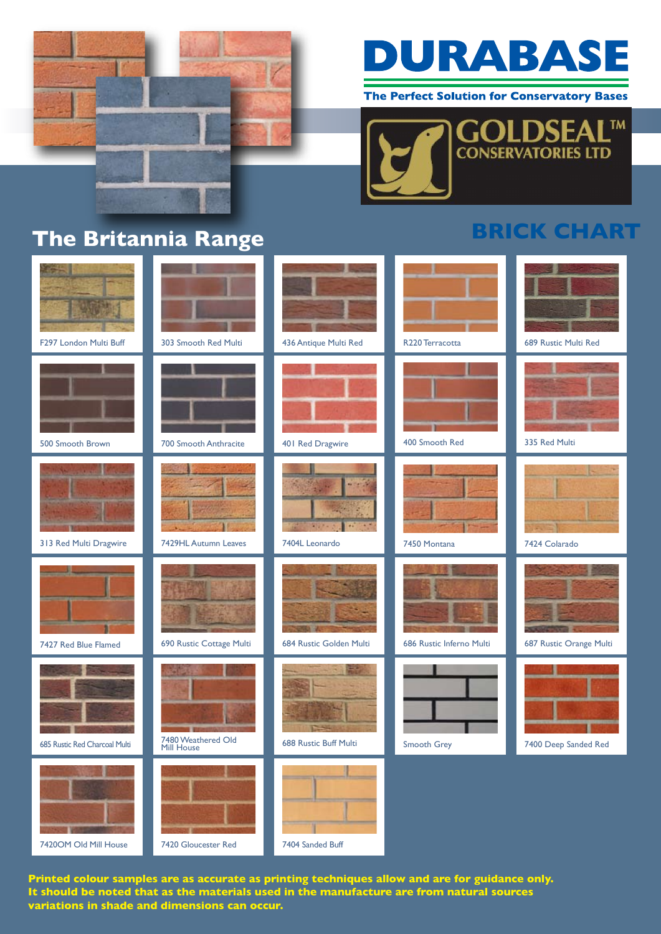

## DURABASE

The Perfect Solution for Conservatory Bases



**BRICK CHART**

## **The Britannia Range**

| F297 London Multi Buff        | 303 Smooth Red Multi             | 436 Antique Multi Red   | R <sub>220</sub> Terracotta | 689 Rustic Multi Red    |
|-------------------------------|----------------------------------|-------------------------|-----------------------------|-------------------------|
| 500 Smooth Brown              | 700 Smooth Anthracite            | 401 Red Dragwire        | 400 Smooth Red              | 335 Red Multi           |
| 313 Red Multi Dragwire        | 7429HL Autumn Leaves             | 38<br>7404L Leonardo    | 7450 Montana                | 7424 Colarado           |
| 7427 Red Blue Flamed          | 690 Rustic Cottage Multi         | 684 Rustic Golden Multi | 686 Rustic Inferno Multi    | 687 Rustic Orange Multi |
| 685 Rustic Red Charcoal Multi | 7480 Weathered Old<br>Mill House | 688 Rustic Buff Multi   | Smooth Grey                 | 7400 Deep Sanded Red    |
| 7420OM Old Mill House         | 7420 Gloucester Red              | 7404 Sanded Buff        |                             |                         |

**Printed colour samples are as accurate as printing techniques allow and are for guidance only. It should be noted that as the materials used in the manufacture are from natural sources variations in shade and dimensions can occur.**